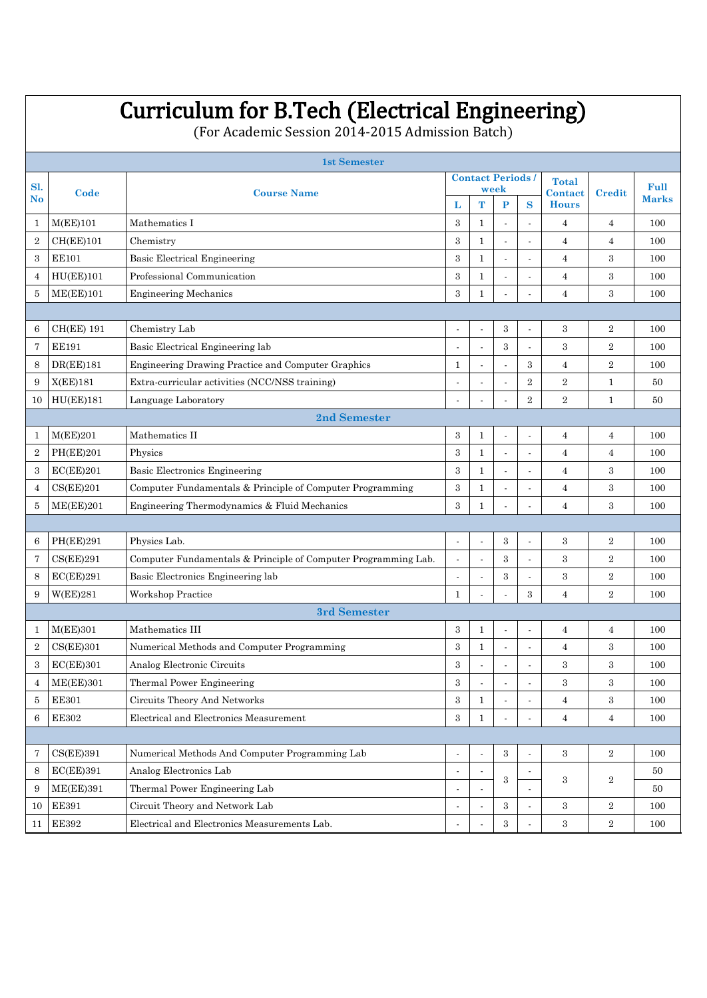# Curriculum for B.Tech (Electrical Engineering)

(For Academic Session 2014-2015 Admission Batch)

|                              |                  | <b>1st Semester</b>                                            |                                |                          |                                 |                          |                         |                |              |  |  |  |
|------------------------------|------------------|----------------------------------------------------------------|--------------------------------|--------------------------|---------------------------------|--------------------------|-------------------------|----------------|--------------|--|--|--|
| <b>Sl.</b><br>N <sub>o</sub> | Code             |                                                                |                                |                          | <b>Contact Periods/</b><br>week |                          | <b>Total</b>            |                | Full         |  |  |  |
|                              |                  | <b>Course Name</b>                                             | L                              | T                        | P                               | S                        | Contact<br><b>Hours</b> | Credit         | <b>Marks</b> |  |  |  |
| $\mathbf{1}$                 | M(EE)101         | Mathematics I                                                  | 3                              | $\mathbf{1}$             | J.                              | J.                       | $\overline{4}$          | $\overline{4}$ | 100          |  |  |  |
| $\overline{2}$               | CH(EE)101        | Chemistry                                                      | 3                              | $\mathbf{1}$             |                                 |                          | $\overline{4}$          | $\overline{4}$ | 100          |  |  |  |
| 3                            | <b>EE101</b>     | <b>Basic Electrical Engineering</b>                            | 3                              | 1                        | L.                              | J.                       | $\overline{4}$          | 3              | 100          |  |  |  |
| $\overline{4}$               | HU(EE)101        | Professional Communication                                     | 3                              | $\mathbf{1}$             |                                 |                          | $\overline{4}$          | 3              | 100          |  |  |  |
| 5                            | ME(EE)101        | <b>Engineering Mechanics</b>                                   |                                |                          | $\overline{4}$                  | 3                        | 100                     |                |              |  |  |  |
|                              |                  |                                                                |                                |                          |                                 |                          |                         |                |              |  |  |  |
| 6                            | CH(EE) 191       | Chemistry Lab                                                  | $\blacksquare$                 |                          | 3                               | $\overline{\phantom{a}}$ | 3                       | $\overline{2}$ | 100          |  |  |  |
| 7                            | <b>EE191</b>     | Basic Electrical Engineering lab                               |                                |                          | 3                               | l,                       | 3                       | $\overline{2}$ | 100          |  |  |  |
| 8                            | DR(EE)181        | Engineering Drawing Practice and Computer Graphics             | $\overline{\phantom{a}}$       | 3                        | $\overline{4}$                  | $\overline{2}$           | 100                     |                |              |  |  |  |
| 9                            | X(EE)181         | Extra-curricular activities (NCC/NSS training)                 |                                | $\overline{2}$           | $\overline{2}$                  | $\mathbf{1}$             | 50                      |                |              |  |  |  |
| 10                           | HU(EE)181        | Language Laboratory                                            | $\,2\,$                        | $\mathbf{1}$             | 50                              |                          |                         |                |              |  |  |  |
|                              | 2nd Semester     |                                                                |                                |                          |                                 |                          |                         |                |              |  |  |  |
| 1                            | M(EE)201         | Mathematics II                                                 | 3                              | $\mathbf{1}$             | $\overline{\phantom{a}}$        | $\overline{a}$           | $\overline{4}$          | $\overline{4}$ | 100          |  |  |  |
| $\boldsymbol{2}$             | <b>PH(EE)201</b> | Physics                                                        | 3                              | $\mathbf{1}$             | $\overline{\phantom{a}}$        | Ĭ.                       | $\overline{4}$          | $\overline{4}$ | 100          |  |  |  |
| 3                            | EC(EE)201        | Basic Electronics Engineering                                  | 3                              | 1                        | $\overline{a}$                  | $\ddot{\phantom{a}}$     | $\overline{4}$          | 3              | 100          |  |  |  |
| $\overline{4}$               | CS(EE)201        | Computer Fundamentals & Principle of Computer Programming      | 3                              | $\mathbf{1}$             | $\overline{a}$                  | $\ddot{\phantom{a}}$     | $\overline{4}$          | 3              | 100          |  |  |  |
| 5                            | ME(EE)201        | Engineering Thermodynamics & Fluid Mechanics                   | 3                              | $\mathbf{1}$             |                                 |                          | $\overline{4}$          | 3              | 100          |  |  |  |
|                              |                  |                                                                |                                |                          |                                 |                          |                         |                |              |  |  |  |
| 6                            | PH(EE)291        | Physics Lab.                                                   | $\blacksquare$                 | $\overline{\phantom{a}}$ | 3                               | $\overline{\phantom{a}}$ | 3                       | $\overline{2}$ | 100          |  |  |  |
| 7                            | CS(EE)291        | Computer Fundamentals & Principle of Computer Programming Lab. | L.                             | J.                       | 3                               | $\ddot{\phantom{a}}$     | 3                       | $\overline{2}$ | 100          |  |  |  |
| 8                            | EC(EE)291        | Basic Electronics Engineering lab                              |                                |                          | 3                               |                          | $\,3$                   | $\overline{2}$ | 100          |  |  |  |
| 9                            | W(EE)281         | Workshop Practice                                              |                                | 3                        | $\overline{4}$                  | $\overline{2}$           | 100                     |                |              |  |  |  |
|                              |                  | 3rd Semester                                                   |                                |                          |                                 |                          |                         |                |              |  |  |  |
| 1                            | M(EE)301         | Mathematics III                                                | 3                              | $\mathbf{1}$             |                                 | $\overline{\phantom{a}}$ | $\overline{4}$          | $\overline{4}$ | 100          |  |  |  |
| $\overline{2}$               | CS(EE)301        | Numerical Methods and Computer Programming                     | 3                              | $\mathbf{1}$             |                                 |                          | $\overline{4}$          | 3              | 100          |  |  |  |
| 3                            | EC(EE)301        | Analog Electronic Circuits                                     | 3                              |                          |                                 |                          | 3                       | 3              | 100          |  |  |  |
| 4                            | ME(EE)301        | Thermal Power Engineering                                      | $\,3$                          |                          |                                 |                          | $\,3$                   | $\,3$          | 100          |  |  |  |
| $\bf 5$                      | <b>EE301</b>     | Circuits Theory And Networks                                   | $\boldsymbol{3}$               | $\mathbf{1}$             |                                 |                          | $\overline{4}$          | $\,3$          | 100          |  |  |  |
| 6                            | <b>EE302</b>     | Electrical and Electronics Measurement                         | $\,3$                          | $\mathbf{1}$             |                                 |                          | $\bf{4}$                | $\bf{4}$       | 100          |  |  |  |
|                              |                  |                                                                |                                |                          |                                 |                          |                         |                |              |  |  |  |
| 7                            | CS(EE)391        | Numerical Methods And Computer Programming Lab                 |                                |                          | $\,3$                           |                          | 3                       | $\,2$          | 100          |  |  |  |
| $\,8\,$                      | EC(EE)391        | Analog Electronics Lab                                         | $\blacksquare$<br>3            |                          |                                 |                          |                         | $\overline{2}$ | 50           |  |  |  |
| 9                            | ME(EE)391        | Thermal Power Engineering Lab                                  |                                |                          |                                 |                          | 3                       |                | 50           |  |  |  |
| 10                           | <b>EE391</b>     | Circuit Theory and Network Lab                                 | $\,3$<br>$\boldsymbol{2}$<br>3 |                          |                                 |                          |                         |                | 100          |  |  |  |
| 11                           | $\rm EE392$      | Electrical and Electronics Measurements Lab.                   |                                |                          | $\,3$                           |                          | $\,3$                   | $\overline{2}$ | 100          |  |  |  |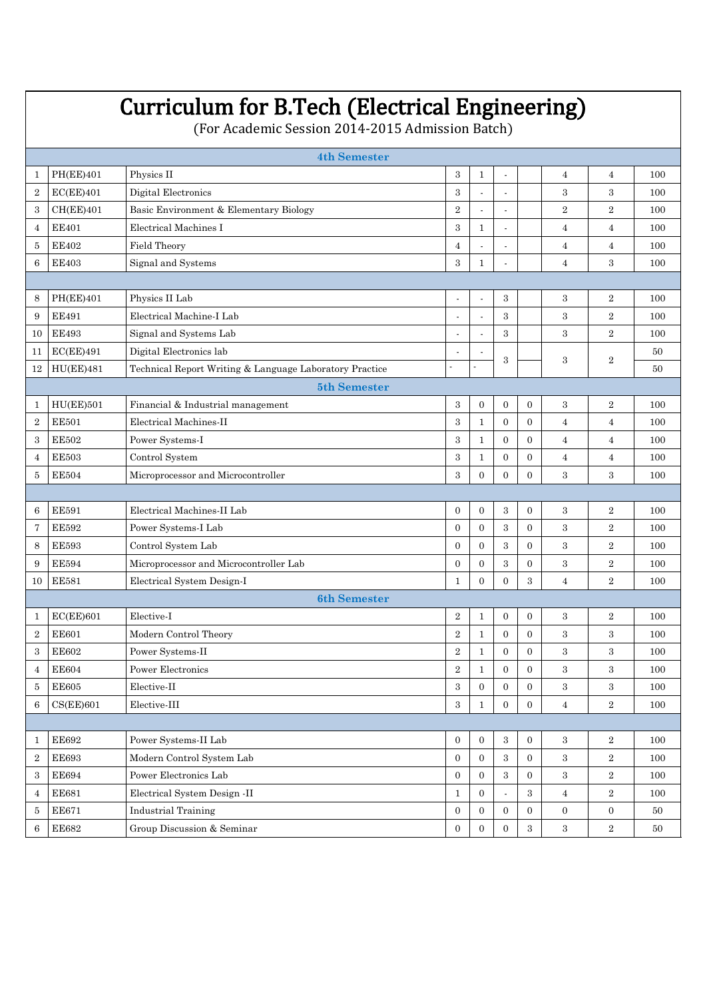|                                                                                                                        | <b>Curriculum for B.Tech (Electrical Engineering)</b><br>(For Academic Session 2014-2015 Admission Batch) |                                                                                                       |                                          |                  |                  |                  |                  |                |        |  |  |  |  |
|------------------------------------------------------------------------------------------------------------------------|-----------------------------------------------------------------------------------------------------------|-------------------------------------------------------------------------------------------------------|------------------------------------------|------------------|------------------|------------------|------------------|----------------|--------|--|--|--|--|
| <b>4th Semester</b>                                                                                                    |                                                                                                           |                                                                                                       |                                          |                  |                  |                  |                  |                |        |  |  |  |  |
| 1                                                                                                                      | <b>PH(EE)401</b>                                                                                          | Physics II                                                                                            | 3<br>$\mathbf{1}$<br>4<br>$\overline{a}$ |                  |                  |                  |                  |                |        |  |  |  |  |
| $\,2$                                                                                                                  | EC(EE)401                                                                                                 | Digital Electronics                                                                                   | 3                                        | 100              |                  |                  |                  |                |        |  |  |  |  |
| 3                                                                                                                      | CH(EE)401                                                                                                 | Basic Environment & Elementary Biology<br>$\overline{2}$<br>$\overline{2}$<br>$\overline{2}$          |                                          |                  |                  |                  |                  |                |        |  |  |  |  |
| 4                                                                                                                      | <b>EE401</b>                                                                                              | Electrical Machines I                                                                                 | $\overline{4}$                           | $\overline{4}$   | 100              |                  |                  |                |        |  |  |  |  |
| 5                                                                                                                      | <b>EE402</b>                                                                                              | Field Theory                                                                                          | 4                                        | $\overline{4}$   | 100              |                  |                  |                |        |  |  |  |  |
| 6                                                                                                                      | <b>EE403</b>                                                                                              | Signal and Systems                                                                                    | $\overline{4}$                           | 3                | 100              |                  |                  |                |        |  |  |  |  |
|                                                                                                                        |                                                                                                           |                                                                                                       |                                          |                  |                  |                  |                  |                |        |  |  |  |  |
| 8                                                                                                                      | <b>PH(EE)401</b>                                                                                          | Physics II Lab                                                                                        |                                          |                  | 3                |                  | 3                | $\overline{2}$ | 100    |  |  |  |  |
| 9                                                                                                                      | <b>EE491</b>                                                                                              | Electrical Machine-I Lab                                                                              |                                          |                  | 3                |                  | 3                | $\overline{2}$ | 100    |  |  |  |  |
| 10                                                                                                                     | <b>EE493</b>                                                                                              | Signal and Systems Lab                                                                                | $\overline{a}$                           |                  | 3                |                  | 3                | $\overline{2}$ | 100    |  |  |  |  |
| 11                                                                                                                     | EC(EE)491                                                                                                 | Digital Electronics lab                                                                               |                                          |                  |                  |                  |                  |                | 50     |  |  |  |  |
| 12                                                                                                                     | HU(EE)481                                                                                                 | Technical Report Writing & Language Laboratory Practice                                               |                                          |                  | 3                |                  | 3                | $\overline{2}$ | 50     |  |  |  |  |
|                                                                                                                        |                                                                                                           | 5th Semester                                                                                          |                                          |                  |                  |                  |                  |                |        |  |  |  |  |
| 1                                                                                                                      | HU(EE)501                                                                                                 | Financial & Industrial management                                                                     | $\,3$                                    | $\mathbf{0}$     | $\mathbf{0}$     | $\overline{0}$   | 3                | $\overline{2}$ | 100    |  |  |  |  |
| $\,2$                                                                                                                  | <b>EE501</b>                                                                                              | Electrical Machines-II                                                                                | 3                                        | $\mathbf{1}$     | $\mathbf{0}$     | $\overline{0}$   | $\overline{4}$   | 4              | 100    |  |  |  |  |
| 3                                                                                                                      | <b>EE502</b>                                                                                              | Power Systems-I                                                                                       | 3                                        | $\mathbf{1}$     | $\overline{0}$   | $\overline{0}$   | $\overline{4}$   | $\overline{4}$ | 100    |  |  |  |  |
| $\overline{4}$                                                                                                         | <b>EE503</b>                                                                                              | Control System                                                                                        | 3                                        | $\mathbf{1}$     | $\boldsymbol{0}$ | $\overline{0}$   | $\overline{4}$   | 4              | 100    |  |  |  |  |
| <b>EE504</b><br>Microprocessor and Microcontroller<br>3<br>$\overline{0}$<br>$\overline{0}$<br>$\Omega$<br>3<br>3<br>5 |                                                                                                           |                                                                                                       |                                          |                  |                  |                  |                  |                |        |  |  |  |  |
|                                                                                                                        |                                                                                                           |                                                                                                       |                                          |                  |                  |                  |                  |                |        |  |  |  |  |
| 6                                                                                                                      | <b>EE591</b>                                                                                              | Electrical Machines-II Lab                                                                            | $\mathbf{0}$                             | $\mathbf{0}$     | 3                | $\overline{0}$   | 3                | $\overline{2}$ | 100    |  |  |  |  |
| 7                                                                                                                      | <b>EE592</b>                                                                                              | Power Systems-I Lab                                                                                   | $\overline{0}$                           | $\boldsymbol{0}$ | 3                | $\theta$         | 3                | $\overline{2}$ | 100    |  |  |  |  |
| 8                                                                                                                      | <b>EE593</b>                                                                                              | Control System Lab                                                                                    | $\overline{0}$                           | $\overline{0}$   | 3                | $\overline{0}$   | 3                | $\overline{2}$ | 100    |  |  |  |  |
| 9                                                                                                                      | <b>EE594</b>                                                                                              | Microprocessor and Microcontroller Lab                                                                | $\overline{0}$                           | $\boldsymbol{0}$ | 3                | $\overline{0}$   | 3                | $\overline{2}$ | 100    |  |  |  |  |
| 10                                                                                                                     | <b>EE581</b>                                                                                              | Electrical System Design-I                                                                            | $\mathbf{1}$                             | $\Omega$         | $\Omega$         | 3                | $\overline{4}$   | $\overline{2}$ | 100    |  |  |  |  |
|                                                                                                                        |                                                                                                           | <b>6th Semester</b>                                                                                   |                                          |                  |                  |                  |                  |                |        |  |  |  |  |
| 1                                                                                                                      | $EC(EE)$ 601                                                                                              | Elective-I                                                                                            | $\overline{2}$                           | 1                | $\mathbf{0}$     | $\boldsymbol{0}$ | 3                | $\overline{2}$ | 100    |  |  |  |  |
| $\overline{2}$                                                                                                         | <b>EE601</b>                                                                                              | Modern Control Theory                                                                                 | $\,2$                                    | $\mathbf{1}$     | $\boldsymbol{0}$ | $\mathbf{0}$     | 3                | 3              | 100    |  |  |  |  |
| $\boldsymbol{3}$                                                                                                       | <b>EE602</b>                                                                                              | Power Systems-II                                                                                      | $\overline{2}$                           | $\mathbf{1}$     | $\overline{0}$   | $\overline{0}$   | 3                | 3              | 100    |  |  |  |  |
| 4                                                                                                                      | <b>EE604</b>                                                                                              | <b>Power Electronics</b>                                                                              | $\,2\,$                                  | $\mathbf{1}$     | $\mathbf{0}$     | $\mathbf{0}$     | 3                | 3              | 100    |  |  |  |  |
| 5                                                                                                                      | $\rm EE605$                                                                                               | ${\rm Electric}\cdot\Pi$                                                                              | 3                                        | $\mathbf{0}$     | $\mathbf{0}$     | $\overline{0}$   | 3                | 3              | 100    |  |  |  |  |
| 6                                                                                                                      | CS(EE)601                                                                                                 | $\overline{2}$<br>Elective-III<br>3<br>$\mathbf{0}$<br>$\mathbf{0}$<br>$\overline{4}$<br>$\mathbf{1}$ |                                          |                  |                  |                  |                  |                |        |  |  |  |  |
|                                                                                                                        |                                                                                                           |                                                                                                       |                                          |                  |                  |                  |                  |                |        |  |  |  |  |
| 1                                                                                                                      | <b>EE692</b>                                                                                              | Power Systems-II Lab                                                                                  | $\mathbf{0}$                             | $\overline{0}$   | 3                | $\mathbf{0}$     | 3                | $\overline{2}$ | 100    |  |  |  |  |
| $\overline{2}$                                                                                                         | <b>EE693</b>                                                                                              | Modern Control System Lab                                                                             | $\overline{0}$                           | 3                | $\overline{2}$   | 100              |                  |                |        |  |  |  |  |
| 3                                                                                                                      | <b>EE694</b>                                                                                              | Power Electronics Lab<br>$\,3$<br>$\mathbf{0}$<br>3<br>$\,2$<br>$\mathbf{0}$<br>$\mathbf{0}$          |                                          |                  |                  |                  |                  |                |        |  |  |  |  |
| 4                                                                                                                      | <b>EE681</b>                                                                                              | Electrical System Design -II                                                                          | $\mathbf{1}$                             | $\mathbf{0}$     | $\overline{a}$   | 3                | $\overline{4}$   | $\overline{2}$ | 100    |  |  |  |  |
| 5                                                                                                                      | <b>EE671</b>                                                                                              | <b>Industrial Training</b>                                                                            | $\mathbf{0}$                             | $\overline{0}$   | $\mathbf{0}$     | $\mathbf{0}$     | $\boldsymbol{0}$ | $\mathbf{0}$   | 50     |  |  |  |  |
| 6                                                                                                                      | $\rm EE682$                                                                                               | Group Discussion & Seminar                                                                            | $\mathbf{0}$                             | $\overline{0}$   | $\boldsymbol{0}$ | $\,3$            | $\,3$            | $\,2\,$        | $50\,$ |  |  |  |  |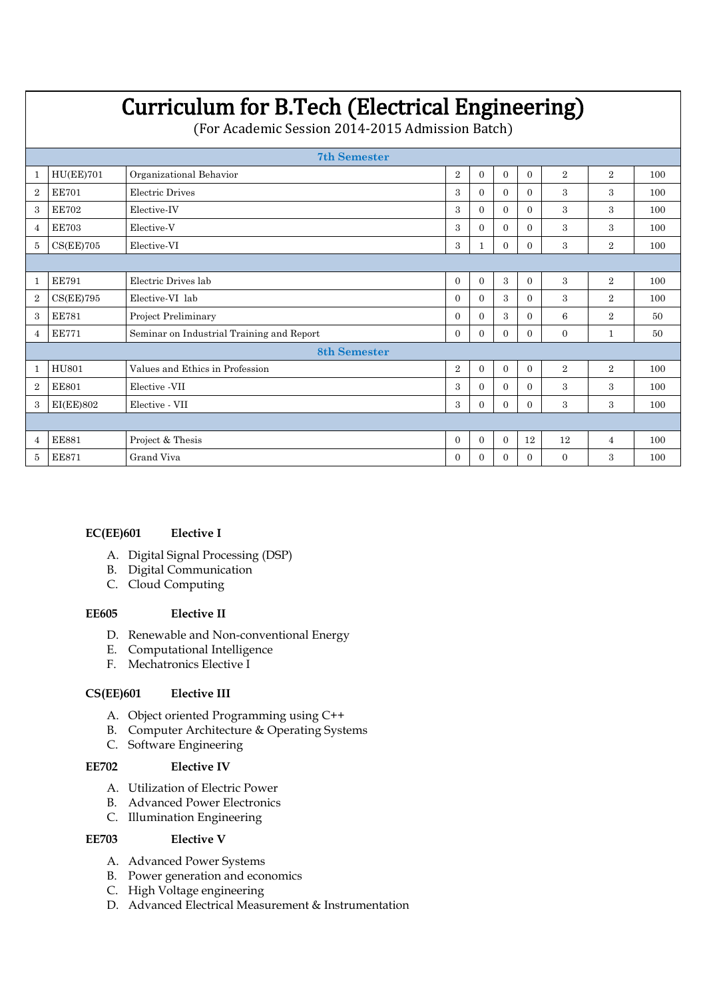|                     | <b>Curriculum for B.Tech (Electrical Engineering)</b><br>(For Academic Session 2014-2015 Admission Batch) |                                                                                                         |                |          |          |          |                |                |     |  |  |  |  |
|---------------------|-----------------------------------------------------------------------------------------------------------|---------------------------------------------------------------------------------------------------------|----------------|----------|----------|----------|----------------|----------------|-----|--|--|--|--|
| <b>7th Semester</b> |                                                                                                           |                                                                                                         |                |          |          |          |                |                |     |  |  |  |  |
|                     | HU(EE)701                                                                                                 | Organizational Behavior<br>$\overline{2}$<br>$\overline{2}$<br>$\mathbf{0}$<br>$\mathbf{0}$<br>$\Omega$ |                |          |          |          |                |                |     |  |  |  |  |
| $\overline{2}$      | <b>EE701</b>                                                                                              | Electric Drives                                                                                         | $\Omega$       | $\Omega$ | $\Omega$ | 3        | 3              | 100            |     |  |  |  |  |
| 3                   | <b>EE702</b>                                                                                              | Elective IV                                                                                             | $\Omega$       | $\Omega$ | $\Omega$ | 3        | 3              | 100            |     |  |  |  |  |
| 4                   | <b>EE703</b>                                                                                              | Elective V                                                                                              | $\Omega$       | $\Omega$ | $\Omega$ | 3        | 3              | 100            |     |  |  |  |  |
| 5                   | CS(EE)705                                                                                                 | Elective-VI                                                                                             | 3              | 1        | $\Omega$ | $\Omega$ | 3              | $\overline{2}$ | 100 |  |  |  |  |
|                     |                                                                                                           |                                                                                                         |                |          |          |          |                |                |     |  |  |  |  |
|                     | <b>EE791</b>                                                                                              | Electric Drives lab                                                                                     | $\overline{0}$ | $\Omega$ | 3        | $\Omega$ | 3              | $\overline{2}$ | 100 |  |  |  |  |
| $\overline{2}$      | CS(EE)795                                                                                                 | Elective-VI lab                                                                                         | $\Omega$       | $\Omega$ | 3        | $\Omega$ | 3              | 2              | 100 |  |  |  |  |
| 3                   | <b>EE781</b>                                                                                              | Project Preliminary                                                                                     | $\Omega$       | $\Omega$ | 3        | $\Omega$ | 6              | $\overline{2}$ | 50  |  |  |  |  |
| 4                   | <b>EE771</b>                                                                                              | Seminar on Industrial Training and Report                                                               | $\Omega$       | $\Omega$ | $\Omega$ | $\Omega$ | $\Omega$       | 1              | 50  |  |  |  |  |
|                     |                                                                                                           | <b>8th Semester</b>                                                                                     |                |          |          |          |                |                |     |  |  |  |  |
|                     | <b>HU801</b>                                                                                              | Values and Ethics in Profession                                                                         | $\overline{2}$ | $\Omega$ | $\Omega$ | $\Omega$ | $\overline{2}$ | $\overline{2}$ | 100 |  |  |  |  |
| $\overline{2}$      | <b>EE801</b>                                                                                              | Elective -VII<br>3<br>3<br>3<br>$\Omega$<br>$\Omega$<br>$\Omega$                                        |                |          |          |          |                |                |     |  |  |  |  |
| 3                   | 3<br>3<br>EI(EE)802<br>Elective - VII<br>3<br>$\Omega$<br>$\Omega$<br>$\Omega$                            |                                                                                                         |                |          |          |          |                |                |     |  |  |  |  |
|                     |                                                                                                           |                                                                                                         |                |          |          |          |                |                |     |  |  |  |  |
| 4                   | <b>EE881</b>                                                                                              | Project & Thesis                                                                                        | $\Omega$       | $\Omega$ | $\Omega$ | 12       | 12             | 4              | 100 |  |  |  |  |
| 5                   | <b>EE871</b>                                                                                              | Grand Viva                                                                                              | $\Omega$       | 0        | 0        | $\Omega$ | $\Omega$       | 3              | 100 |  |  |  |  |

### **EC(EE)601 Elective I**

- A. Digital Signal Processing (DSP)
- B. Digital Communication
- C. Cloud Computing

#### **EE605 Elective II**

- D. Renewable and Non-conventional Energy
- E. Computational Intelligence
- F. Mechatronics Elective I

# **CS(EE)601 Elective III**

- A. Object oriented Programming using C++
- B. Computer Architecture & Operating Systems
- C. Software Engineering

#### **EE702 Elective IV**

- A. Utilization of Electric Power
- B. Advanced Power Electronics
- C. Illumination Engineering

#### **EE703 Elective V**

- A. Advanced Power Systems
- B. Power generation and economics
- C. High Voltage engineering
- D. Advanced Electrical Measurement & Instrumentation